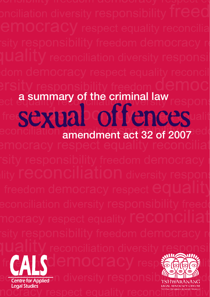a summary of the criminal law

amendment act 32 of 2007 sexual offences



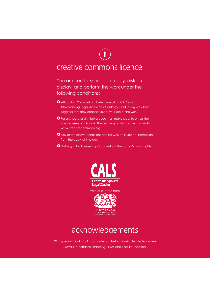# $(\mathring{\mathbf{I}})$

# creative commons licence

You are free to Share — to copy, distribute, display, and perform the work under the following conditions:

- **O** Attribution. You must attribute the work to CALS and Tshwaranang Legal Advocacy Centre(but not in any way that suggests that they endorse you or your use of the work).
- **O** For any reuse or distribution, you must make clear to others the license terms of this work. The best way to do this is with a link to www.creativecommons.org.
- **O** Any of the above conditions can be waived if you get permission from the copyright holder.
- $\bullet$  Nothing in this license impairs or restricts the author's moral rights.



acknowledgements

With special thanks to Ambassade van het Koninkrijk der Nederlanden (Royal Netherlands Embassy), Hivos and Ford Foundation.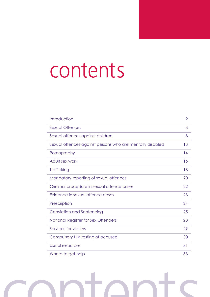# contents

| Introduction                                              | $\overline{2}$ |
|-----------------------------------------------------------|----------------|
| Sexual Offences                                           | 3              |
| Sexual offences against children                          | 8              |
| Sexual offences against persons who are mentally disabled | 13             |
| Pornography                                               | 14             |
| Adult sex work                                            | 16             |
| Trafficking                                               | 18             |
| Mandatory reporting of sexual offences                    | 20             |
| Criminal procedure in sexual offence cases                | 22             |
| Evidence in sexual offence cases                          | 23             |
| Prescription                                              | 24             |
| Conviction and Sentencing                                 | 25             |
| National Register for Sex Offenders                       | 28             |
| Services for victims                                      | 29             |
| Compulsory HIV testing of accused                         | 30             |
| Useful resources                                          | 31             |
| Where to get help                                         | 33             |

# contents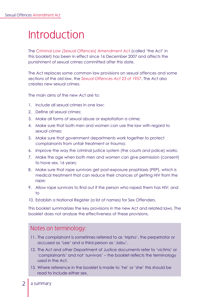# Introduction

The *Criminal Law (Sexual Offences) Amendment Act* (called 'the Act' in this booklet) has been in effect since 16 December 2007 and affects the punishment of sexual crimes committed after this date.

The Act replaces some common law provisions on sexual offences and some sections of the old law, the *Sexual Offences Act 23 of 1957*. The Act also creates new sexual crimes.

The main aims of the new Act are to:

- 1. Include all sexual crimes in one law;
- 2. Define all sexual crimes;
- 3. Make all forms of sexual abuse or exploitation a crime;
- 4. Make sure that both men and women can use the law with regard to sexual crimes;
- 5. Make sure that government departments work together to protect complainants from unfair treatment or trauma;
- 6. Improve the way the criminal justice system (the courts and police) works;
- 7. Make the age when both men and women can give permission (consent) to have sex, 16 years;
- 8. Make sure that rape survivors get post-exposure prophlaxis (PEP), which is medical treatment that can reduce their chances of getting HIV from the rape:
- 9. Allow rape survivors to find out if the person who raped them has HIV; and to
- 10. Establish a National Register (a list of names) for Sex Offenders.

This booklet summarizes the key provisions in the new Act and related laws. The booklet does not analyse the effectiveness of these provisions.

## Notes on terminology:

- 11. The complainant is sometimes referred to as 'Mpho', the perpetrator or accused as 'Lee' and a third person as 'Jabu'.
- 12. The Act and other Department of Justice documents refer to 'victims' or 'complainants' and not 'survivors' – the booklet reflects the terminology used in the Act.
- 13. Where reference in the booklet is made to 'he' or 'she' this should be read to include either sex.
- 2 a summary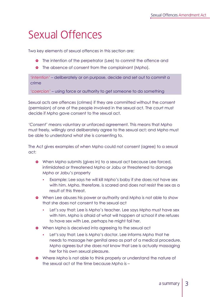# Sexual Offences

Two key elements of sexual offences in this section are:

- **o** The intention of the perpetrator (Lee) to commit the offence and
- **•** The absence of consent from the complainant (Mpho).

*'intention'* – deliberately or on purpose, decide and set out to commit a crime

*'coercion'* – using force or authority to get someone to do something

Sexual acts are offences (crimes) if they are committed without the consent (permission) of one of the people involved in the sexual act. The court must decide if Mpho gave consent to the sexual act.

*'Consent'* means voluntary or unforced agreement. This means that Mpho must freely, willingly and deliberately agree to the sexual act; and Mpho must be able to understand what she is consenting to.

The Act gives examples of when Mpho could not consent (agree) to a sexual act:

- **•** When Mpho submits (gives in) to a sexual act because Lee forced, intimidated or threatened Mpho or Jabu or threatened to damage Mpho or Jabu's property
	- Example: Lee says he will kill Mpho's baby if she does not have sex with him. Mpho, therefore, is scared and does not resist the sex as a result of this threat.
- **•** When Lee abuses his power or authority and Mpho is not able to show that she does not consent to the sexual act
	- Let's say that: Lee is Mpho's teacher. Lee says Mpho must have sex with him. Mpho is afraid of what will happen at school if she refuses to have sex with Lee, perhaps he might fail her.
- **•** When Mpho is deceived into agreeing to the sexual act
	- Let's say that: Lee is Mpho's doctor. Lee informs Mpho that he needs to massage her genital area as part of a medical procedure. Mpho agrees but she does not know that Lee is actually massaging her for his own sexual pleasure.
- **•** Where Mpho is not able to think properly or understand the nature of the sexual act at the time because Mpho is –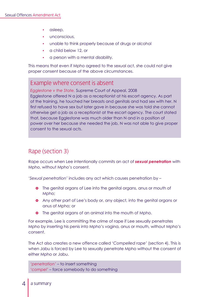- asleep,
- unconscious,
- unable to think properly because of drugs or alcohol
- y a child below 12, or
- a person with a mental disability.

This means that even if Mpho agreed to the sexual act, she could not give proper consent because of the above circumstances.

## Example where consent is absent

*Egglestone v the State,* Supreme Court of Appeal, 2008 Egglestone offered N a job as a receptionist at his escort agency. As part of the training, he touched her breasts and genitals and had sex with her. N first refused to have sex but later gave in because she was told she cannot otherwise get a job as a receptionist at the escort agency. The court stated that, because Egglestone was much older than N and in a position of power over her because she needed the job, N was not able to give proper consent to the sexual acts.

# Rape (section 3)

Rape occurs when Lee intentionally commits an act of *sexual penetration* with Mpho, without Mpho's consent.

*'Sexual penetration'* includes any act which causes penetration by –

- **•** The genital organs of Lee into the genital organs, anus or mouth of Mpho;
- **•** Any other part of Lee's body or, any object, into the genital organs or anus of Mpho; or
- **•** The genital organs of an animal into the mouth of Mpho.

For example, Lee is committing the crime of rape if Lee sexually penetrates Mpho by inserting his penis into Mpho's vagina, anus or mouth, without Mpho's consent.

The Act also creates a new offence called *'Compelled rape'* (section 4). This is when Jabu is forced by Lee to sexually penetrate Mpho without the consent of either Mpho or Jabu.

*'penetration'* – to insert something *'compel'* – force somebody to do something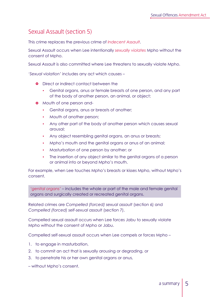# Sexual Assault (section 5)

This crime replaces the previous crime of *Indecent Assault*.

Sexual Assault occurs when Lee intentionally *sexually violates* Mpho without the consent of Mpho.

Sexual Assault is also committed where Lee threatens to sexually violate Mpho.

*'Sexual violation'* includes any act which causes –

- **•** Direct or indirect contact between the
	- Genital organs, anus or female breasts of one person, and any part of the body of another person, an animal, or object;
- **•** Mouth of one person and-
	- Genital organs, anus or breasts of another;
	- Mouth of another person:
	- Any other part of the body of another person which causes sexual arousal;
	- Any object resembling genital organs, an anus or breasts;
	- Mpho's mouth and the genital organs or anus of an animal;
	- Masturbation of one person by another; or
	- The insertion of any object similar to the genital organs of a person or animal into or beyond Mpho's mouth.

For example, when Lee touches Mpho's breasts or kisses Mpho, without Mpho's consent.

*'genital organs'* – includes the whole or part of the male and female genital organs and surgically created or recreated genital organs.

Related crimes are *Compelled (forced) sexual assault* (section 6) and *Compelled (forced) self-sexual assault* (section 7).

Compelled sexual assault occurs when Lee forces Jabu to sexually violate Mpho without the consent of Mpho or Jabu.

Compelled self-sexual assault occurs when Lee compels or forces Mpho –

- 1. to engage in masturbation,
- 2. to commit an act that is sexually arousing or degrading, or
- 3. to penetrate his or her own genital organs or anus,

– without Mpho's consent.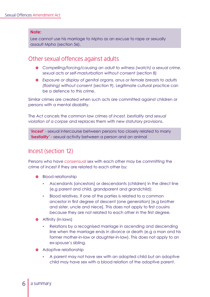#### **Note:**

Lee cannot use his marriage to Mpho as an excuse to rape or sexually assault Mpho (section 56).

## Other sexual offences against adults

- } *Compelling/forcing/causing an adult to witness (watch) a sexual crime, sexual acts or self-masturbation without consent* (section 8)
- } *Exposure or display of genital organs, anus or female breasts to adults (flashing) without consent* (section 9). Legitimate cultural practice can be a defence to this crime.

Similar crimes are created when such acts are committed against children or persons with a mental disability.

The Act cancels the common law crimes of *incest, bestiality* and *sexual violation of a corpse* and replaces them with new statutory provisions.

*'incest'* - sexual intercourse between persons too closely related to marry *'bestiality'* - sexual activity between a person and an animal

## Incest (section 12)

Persons who have *consensual* sex with each other may be committing the crime of incest if they are related to each other by:

- **•** Blood relationship
	- y Ascendants (ancestors) or descendants (children) in the direct line (e.g parent and child, grandparent and grandchild);
	- y Blood relatives, if one of the parties is related to a common ancestor in first degree of descent (one generation) [e.g brother and sister, uncle and niece]. This does not apply to first cousins because they are not related to each other in the first degree.
- **Q** Affinity (in-laws)
	- Relations by a recognised marriage in ascending and descending line when the marriage ends in divorce or death (e.g a man and his former mother-in-law or daughter-in-law). This does not apply to an ex-spouse's sibling.
- **•** Adoptive relationship
	- A parent may not have sex with an adopted child but an adoptive child may have sex with a blood relation of the adoptive parent.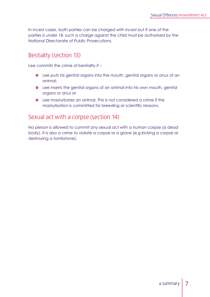In incest cases, both parties can be charged with incest but if one of the parties is under 18, such a charge against the child must be authorised by the National Directorate of Public Prosecutions.

# Bestiality (section 13)

Lee commits the crime of bestiality if –

- **•** Lee puts his genital organs into the mouth, genital organs or anus of an animal;
- **•** Lee inserts the genital organs of an animal into his own mouth, genital organs or anus or
- **Q** Lee masturbates an animal. This is not considered a crime if the masturbation is committed for breeding or scientific reasons.

## Sexual act with a corpse (section 14)

No person is allowed to commit any sexual act with a human corpse (a dead body). It is also a crime to violate a corpse or a grave (e.g kicking a corpse or destroying a tombstone).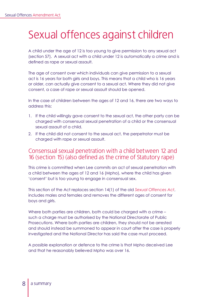# Sexual offences against children

A child under the age of 12 is too young to give permission to any sexual act (section 57). A sexual act with a child under 12 is automatically a crime and is defined as rape or sexual assault.

The age of consent over which individuals can give permission to a sexual act is 16 years for both girls and boys. This means that a child who is 16 years or older, can actually give consent to a sexual act. Where they did not give consent, a case of rape or sexual assault should be opened.

In the case of children between the ages of 12 and 16, there are two ways to address this:

- 1. If the child willingly gave consent to the sexual act, the other party can be charged with consensual sexual penetration of a child or the consensual sexual assault of a child.
- 2. If the child did not consent to the sexual act, the perpetrator must be charged with rape or sexual assault.

## Consensual sexual penetration with a child between 12 and 16 (section 15) (also defined as the crime of Statutory rape)

This crime is committed when Lee commits an act of sexual penetration with a child between the ages of 12 and 16 (Mpho), where the child has given 'consent' but is too young to engage in consensual sex.

This section of the Act replaces section 14(1) of the old *Sexual Offences Act*, includes males and females and removes the different ages of consent for boys and girls.

Where both parties are children, both could be charged with a crime such a charge must be authorised by the National Directorate of Public Prosecutions. Where both parties are children, they should not be arrested and should instead be summoned to appear in court after the case is properly investigated and the National Director has said the case must proceed.

A possible explanation or defence to the crime is that Mpho deceived Lee and that he reasonably believed Mpho was over 16.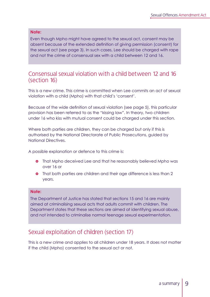#### **Note:**

Even though Mpho might have agreed to the sexual act, consent may be absent because of the extended definition of giving permission (consent) for the sexual act (see page 3). In such cases, Lee should be charged with rape and not the crime of consensual sex with a child between 12 and 16.

### Consensual sexual violation with a child between 12 and 16 (section 16)

This is a new crime. This crime is committed when Lee commits an act of sexual violation with a child (Mpho) with that child's 'consent'.

Because of the wide definition of sexual violation (see page 5), this particular provision has been referred to as the "kissing law". In theory, two children under 16 who kiss with mutual consent could be charged under this section.

Where both parties are children, they can be charged but only if this is authorised by the National Directorate of Public Prosecutions, guided by National Directives.

A possible explanation or defence to this crime is:

- **o** That Mpho deceived Lee and that he reasonably believed Mpho was over 16 or
- **•** That both parties are children and their age difference is less than 2 years.

#### **Note:**

The Department of Justice has stated that sections 15 and 16 are mainly aimed at criminalising sexual acts that adults commit with children. The Department states that these sections are aimed at identifying sexual abuse, and not intended to criminalise normal teenage sexual experimentation.

## Sexual exploitation of children (section 17)

This is a new crime and applies to all children under 18 years. It does not matter if the child (Mpho) consented to the sexual act or not.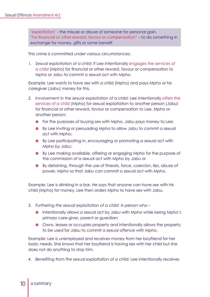*'exploitation'* - the misuse or abuse of someone for personal gain. *"for financial or other reward, favour or compensation"* – to do something in exchange for money, gifts or some benefit

This crime is committed under various circumstances:

*1. Sexual exploitation of a child*: If Lee intentionally *engages the services of a child* (Mpho) for financial or other reward, favour or compensation to Mpho or Jabu to commit a sexual act with Mpho.

Example: Lee wants to have sex with a child (Mpho) and pays Mpho or his caregiver (Jabu) money for this.

- *2. Involvement in the sexual exploitation of a child:* Lee intentionally *offers the services of a child* (Mpho) for sexual exploitation to another person (Jabu) for financial or other reward, favour or compensation to Lee, Mpho or another person:
	- **•** For the purposes of buying sex with Mpho, Jabu pays money to Lee:
	- **•** By Lee inviting or persuading Mpho to allow Jabu to commit a sexual act with Mpho;
	- **•** By Lee participating in, encouraging or promoting a sexual act with Mpho by Jabu;
	- **•** By Lee making available, offering or engaging Mpho for the purpose of the commission of a sexual act with Mpho by Jabu or
	- **•** By detaining, through the use of threats, force, coercion, lies, abuse of power, Mpho so that Jabu can commit a sexual act with Mpho.

Example: Lee is drinking in a bar. He says that anyone can have sex with his child (Mpho) for money. Lee then orders Mpho to have sex with Jabu.

- *3. Furthering the sexual exploitation of a child:* A person who
	- **•** Intentionally allows a sexual act by Jabu with Mpho while being Mpho's primary care-giver, parent or guardian;
	- **•** Owns, leases or occupies property and intentionally allows the property to be used for Jabu to commit a sexual offence with Mpho.

Example: Lee is unemployed and receives money from her boyfriend for her basic needs. She knows that her boyfriend is having sex with her child but she does not do anything to stop him.

*4. Benefiting from the sexual exploitation of a child:* Lee intentionally receives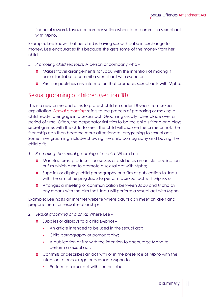financial reward, favour or compensation when Jabu commits a sexual act with Mpho.

Example: Lee knows that her child is having sex with Jabu in exchange for money. Lee encourages this because she gets some of the money from her child.

- *5. Promoting child sex tours:* A person or company who
	- **•** Makes travel arrangements for Jabu with the intention of making it easier for Jabu to commit a sexual act with Mpho or
	- **•** Prints or publishes any information that promotes sexual acts with Mpho.

## Sexual grooming of children (section 18)

This is a new crime and aims to protect children under 18 years from sexual exploitation. *Sexual grooming* refers to the process of preparing or making a child ready to engage in a sexual act. Grooming usually takes place over a period of time. Often, the perpetrator first tries to be the child's friend and plays secret games with the child to see if the child will disclose the crime or not. The friendship can then become more affectionate, progressing to sexual acts. Sometimes grooming includes showing the child pornography and buying the child gifts.

- *1. Promoting the sexual grooming of a child:* Where Lee
	- **•** Manufactures, produces, possesses or distributes an article, publication or film which aims to promote a sexual act with Mpho;
	- **•** Supplies or displays child pornography or a film or publication to Jabu with the aim of helping Jabu to perform a sexual act with Mpho; or
	- **•** Arranges a meeting or communication between Jabu and Mpho by any means with the aim that Jabu will perform a sexual act with Mpho.

Example: Lee hosts an internet website where adults can meet children and prepare them for sexual relationships.

- *2. Sexual grooming of a child:* Where Lee
	- **•** Supplies or displays to a child (Mpho)
		- An article intended to be used in the sexual act:
		- Child pornography or pornography;
		- A publication or film with the intention to encourage Mpho to perform a sexual act.
	- **•** Commits or describes an act with or in the presence of Mpho with the intention to encourage or persuade Mpho to –
		- Perform a sexual act with Lee or Jabu;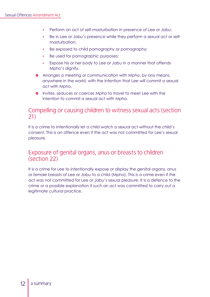- Perform an act of self-masturbation in presence of Lee or Jabu;
- Be in Lee or Jabu's presence while they perform a sexual act or selfmasturbation;
- Be exposed to child pornography or pornography;
- Be used for pornographic purposes;
- Expose his or her body to Lee or Jabu in a manner that offends Mpho's dignity.
- **•** Arranges a meeting or communication with Mpho, by any means, anywhere in the world, with the intention that Lee will commit a sexual act with Mpho.
- **o** Invites, seduces or coerces Mpho to travel to meet Lee with the intention to commit a sexual act with Mpho.

## Compelling or causing children to witness sexual acts (section 21)

It is a crime to intentionally let a child watch a sexual act without the child's consent. This is an offence even if the act was not committed for Lee's sexual pleasure.

## Exposure of genital organs, anus or breasts to children (section 22)

It is a crime for Lee to intentionally expose or display the genital organs, anus or female breasts of Lee or Jabu to a child (Mpho). This is a crime even if the act was not committed for Lee or Jabu's sexual pleasure. It is a defence to the crime or a possible explanation if such an act was committed to carry out a legitimate cultural practice.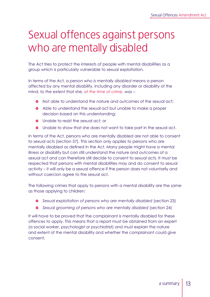# Sexual offences against persons who are mentally disabled

The Act tries to protect the interests of people with mental disabilities as a group which is particularly vulnerable to sexual exploitation.

In terms of the Act, a *person who is mentally disabled* means a person affected by any mental disability, including any disorder or disability of the mind, *to the extent that* she, *at the time of crime*, was –

- **•** Not able to understand the nature and outcomes of the sexual act:
- **•** Able to understand the sexual act but unable to make a proper decision based on this understanding;
- **Q** Unable to resist the sexual act; or
- **•** Unable to show that she does not want to take part in the sexual act.

In terms of the Act, persons who are mentally disabled are not able to consent to sexual acts (section 57). This section only applies to persons who are mentally disabled as defined in the Act. Many people might have a mental illness or disability but can still understand the nature and outcomes of a sexual act and can therefore still decide to consent to sexual acts. It must be respected that persons with mental disabilities may and do consent to sexual activity – it will only be a sexual offence if the person does not voluntarily and without coercion agree to the sexual act.

The following crimes that apply to persons with a mental disability are the same as those applying to children:

- **•** Sexual exploitation of persons who are mentally disabled (section 23)
- **•** Sexual grooming of persons who are mentally disabled (section 24)

It will have to be proved that the complainant is mentally disabled for these offences to apply. This means that a report must be obtained from an expert (a social worker, psychologist or psychiatrist) and must explain the nature and extent of the mental disability and whether the complainant could give consent.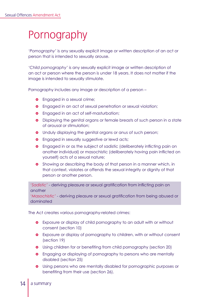# Pornography

*'Pornography'* is any sexually explicit image or written description of an act or person that is intended to sexually arouse.

*'Child pornography'* is any sexually explicit image or written description of an act or person where the person is under 18 years. It does not matter if the image is intended to sexually stimulate.

Pornography includes any image or description of a person –

- **•** Engaged in a sexual crime;
- **•** Engaged in an act of sexual penetration or sexual violation;
- **•** Engaged in an act of self-masturbation;
- **•** Displaying the genital organs or female breasts of such person in a state of arousal or stimulation;
- **•** Unduly displaying the genital organs or anus of such person;
- **•** Engaged in sexually suggestive or lewd acts;
- **•** Engaged in or as the subject of sadistic (deliberately inflicting pain on another individual) or masochistic (deliberately having pain inflicted on yourself) acts of a sexual nature;
- **•** Showing or describing the body of that person in a manner which, in that context, violates or offends the sexual integrity or dignity of that person or another person.

*'Sadistic'* - deriving pleasure or sexual gratification from inflicting pain on another

*'Masochistic'* - deriving pleasure or sexual gratification from being abused or dominated

The Act creates various pornography-related crimes:

- **•** Exposure or display of child pornography to an adult with or without consent (section 10)
- **•** Exposure or display of pornography to children, with or without consent (section 19)
- **•** Using children for or benefiting from child pornography (section 20)
- **•** Engaging or displaying of pornography to persons who are mentally disabled (section 25)
- **•** Using persons who are mentally disabled for pornographic purposes or benefiting from their use (section 26).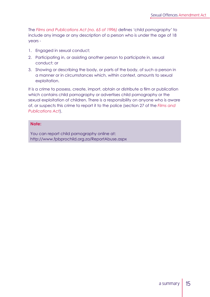The *Films and Publications Act (no. 65 of 1996)* defines *'child pornography'* to include any image or any description of a person who is under the age of 18 years -

- 1. Engaged in sexual conduct;
- 2. Participating in, or assisting another person to participate in, sexual conduct; or
- 3. Showing or describing the body, or parts of the body, of such a person in a manner or in circumstances which, within context, amounts to sexual exploitation.

It is a crime to possess, create, import, obtain or distribute a film or publication which contains child pornography or advertises child pornography or the sexual exploitation of children. There is a responsibility on anyone who is aware of, or suspects this crime to report it to the police (section 27 of the *Films and Publications Act*).

#### **Note:**

You can report child pornography online at: http://www.fpbprochild.org.za/ReportAbuse.aspx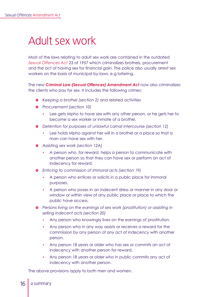# Adult sex work

Most of the laws relating to adult sex work are contained in the outdated *Sexual Offences Act* 23 of 1957 which criminalizes brothels, procurement and the act of having sex for financial gain. The police also usually arrest sex workers on the basis of municipal by-laws, e.g loitering.

The new *Criminal Law (Sexual Offences) Amendment Act* now also criminalizes the clients who pay for sex. It includes the following crimes:

- **•** *Keeping a brothel (section 2)* and related activities
- $\bullet$  Procurement (section 10)
	- y Lee gets Mpho to have sex with any other person, or he gets her to become a sex worker or inmate of a brothel.
- } *Detention for purposes of unlawful carnal intercourse (section 12)*
	- Lee holds Mpho against her will in a brothel or a place so that a man can have sex with her.
- } *Assisting sex work (section 12A)*
	- A person who, for reward, helps a person to communicate with another person so that they can have sex or perform an act of indecency for reward.
- } *Enticing to commission of immoral acts (section 19)*
	- A person who entices or solicits in a public place for immoral purposes.
	- A person who poses in an indecent dress or manner in any door or window or within view of any public place or place to which the public have access.
- **•** Persons living on the earnings of sex work (prostitution) or assisting in *selling indecent acts (section 20)*
	- Any person who knowingly lives on the earnings of prostitution.
	- Any person who in any way assists or receives a reward for the commission by any person of any act of indecency with another person.
	- Any person 18 years or older who has sex or commits an act of indecency with another person for reward.
	- Any person 18 years or older who in public commits any act of indecency with another person.

The above provisions apply to both men and women.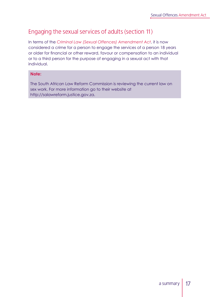# Engaging the sexual services of adults (section 11)

In terms of the *Criminal Law (Sexual Offences) Amendment Act*, it is now considered a crime for a person to engage the services of a person 18 years or older for financial or other reward, favour or compensation to an individual or to a third person for the purpose of engaging in a sexual act with that individual.

#### **Note:**

The South African Law Reform Commission is reviewing the current law on sex work. For more information go to their website at http://salawreform.justice.gov.za.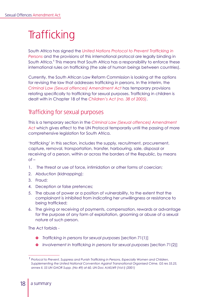# **Trafficking**

South Africa has signed the *United Nations Protocol to Prevent Trafficking in Persons* and the provisions of this international protocol are legally binding in South Africa.<sup>1</sup> This means that South Africa has a responsibility to enforce these international rules on trafficking (the sale of human beings between countries).

Currently, the South African Law Reform Commission is looking at the options for revising the law that addresses trafficking in persons. In the interim, the *Criminal Law (Sexual offences) Amendment Act* has temporary provisions relating specifically to trafficking for sexual purposes. Trafficking in children is dealt with in Chapter 18 of the *Children's Act (no. 38 of 2005)*.

# Trafficking for sexual purposes

This is a temporary section in the *Criminal Law (Sexual offences) Amendment Act* which gives effect to the UN Protocol temporarily until the passing of more comprehensive legislation for South Africa.

*'trafficking'* in this section, includes the supply, recruitment, procurement, capture, removal, transportation, transfer, harbouring, sale, disposal or receiving of a person, within or across the borders of the Republic, by means  $of -$ 

- 1. The threat or use of force, intimidation or other forms of coercian;
- 2. Abduction (kidnapping);
- 3. Fraud;
- 4. Deception or false pretences;
- 5. The abuse of power or a position of vulnerability, to the extent that the complainant is inhibited from indicating her unwillingness or resistance to being trafficked;
- 6. The giving or receiving of payments, compensation, rewards or advantage for the purpose of any form of exploitation, grooming or abuse of a sexual nature of such person.

The Act forbids -

- **•** *Trafficking in persons for sexual purposes* [section 71(1)]
- **•** *Involvement in trafficking in persons for sexual purposes [section 71(2)]*

*<sup>1</sup> Protocol to Prevent, Suppress and Punish Trafficking in Persons, Especially Women and Children, Supplementing the United National Convention Against Transnational Organised Crime, GS res 55.25, annex II, 55 UN GAOR Supp. (No 49) at 60, UN Doc A/45/49 (Vol I) (2001)*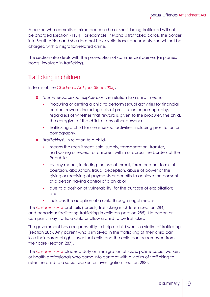A person who commits a crime because he or she is being trafficked will not be charged [section 71(5)]. For example, if Mpho is trafficked across the border into South Africa and she does not have valid travel documents, she will not be charged with a migration-related crime.

The section also deals with the prosecution of commercial carriers (airplanes, boats) involved in trafficking.

# Trafficking in children

In terms of the *Children's Act (no. 38 of 2005)*,

- } *'commercial sexual exploitation'*, in relation to a child, means-
	- Procuring or getting a child to perform sexual activities for financial or other reward, including acts of prostitution or pornography, regardless of whether that reward is given to the procurer, the child, the caregiver of the child, or any other person; or
	- trafficking a child for use in sexual activities, including prostitution or pornography.
- $\bullet$  *'trafficking', in relation to a child*
	- means the recruitment, sale, supply, transportation, transfer, harbouring or receipt of children, within or across the borders of the Republic-
	- by any means, including the use of threat, force or other forms of coercion, abduction, fraud, deception, abuse of power or the giving or receiving of payments or benefits to achieve the consent of a person having control of a child; or
	- $\bullet$  due to a position of vulnerability, for the purpose of exploitation; and
	- includes the adoption of a child through illegal means.

The *Children's Act* prohibits (forbids) trafficking in children (section 284) and behaviour facilitating trafficking in children (section 285). No person or company may traffic a child or allow a child to be trafficked.

The government has a responsibility to help a child who is a victim of trafficking (section 286). Any parent who is involved in the trafficking of their child can lose their parental rights over that child and the child can be removed from their care (section 287).

The *Children's Act* places a duty on immigration officials, police, social workers or health professionals who come into contact with a victim of trafficking to refer the child to a social worker for investigation (section 288).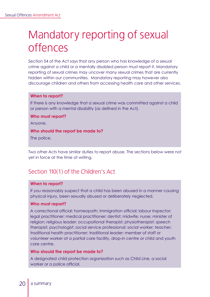# Mandatory reporting of sexual offences

Section 54 of the Act says that any person who has knowledge of a sexual crime against a child or a mentally disabled person must report it. Mandatory reporting of sexual crimes may uncover many sexual crimes that are currently hidden within our communities. Mandatory reporting may however also discourage children and others from accessing health care and other services.

#### **When to report?**

If there is any knowledge that a sexual crime was committed against a child or person with a mental disability (as defined in the Act).

#### **Who must report?**

Anyone.

#### **Who should the report be made to?**

The police.

Two other Acts have similar duties to report abuse. The sections below were not yet in force at the time of writing.

# Section 110(1) of the Children's Act

#### **When to report?**

If you reasonably suspect that a child has been abused in a manner causing physical injury, been sexually abused or deliberately neglected.

#### **Who must report?**

A correctional official; homeopath; immigration official; labour inspector; legal practitioner; medical practitioner; dentist; midwife; nurse; minister of religion; religious leader; occupational therapist; physiotherapist; speech therapist; psychologist; social service professional; social worker; teacher; traditional health practitioner; traditional leader; member of staff or volunteer worker at a partial care facility, drop-in centre or child and youth care centre.

#### **Who should the report be made to?**

A designated child protection organization such as Child Line, a social worker or a police official.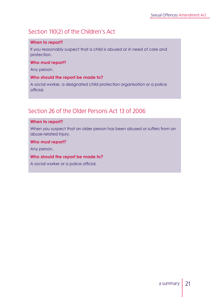# Section 110(2) of the Children's Act

#### **When to report?**

If you reasonably suspect that a child is abused or in need of care and protection.

#### **Who must report?**

Any person.

#### **Who should the report be made to?**

A social worker, a designated child protection organisation or a police official.

# Section 26 of the Older Persons Act 13 of 2006

#### **When to report?**

When you suspect that an older person has been abused or suffers from an abuse-related injury.

#### **Who must report?**

Any person.

#### **Who should the report be made to?**

A social worker or a police official.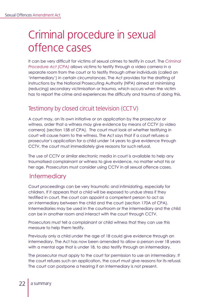# Criminal procedure in sexual offence cases

It can be very difficult for victims of sexual crimes to testify in court. The *Criminal Procedure Act (CPA)* allows victims to testify through a video camera in a separate room from the court or to testify through other individuals (called an 'intermediary') in certain circumstances. The Act provides for the drafting of instructions by the National Prosecuting Authority (NPA) aimed at minimising (reducing) secondary victimisation or trauma, which occurs when the victim has to report the crime and experiences the difficulty and trauma of doing this.

# Testimony by closed circuit television (CCTV)

A court may, on its own initiative or on application by the prosecutor or witness, order that a witness may give evidence by means of CCTV (a video camera) (section 158 of CPA). The court must look at whether testifying in court will cause harm to the witness. The Act says that if a court refuses a prosecutor's application for a child under 14 years to give evidence through CCTV, the court must immediately give reasons for such refusal.

The use of CCTV or similar electronic media in court is available to help any traumatised complainant or witness to give evidence, no matter what his or her age. Prosecutors must consider using CCTV in all sexual offence cases.

# **Intermediary**

Court proceedings can be very traumatic and intimidating, especially for children. If it appears that a child will be exposed to undue stress if they testified in court, the court can appoint a competent person to act as an intermediary between the child and the court (section 170A of CPA). Intermediaries may be used in the courtroom or the intermediary and the child can be in another room and interact with the court through CCTV.

Prosecutors must tell a complainant or child witness that they can use this measure to help them testify.

Previously only a child under the age of 18 could give evidence through an intermediary. The Act has now been amended to allow a person over 18 years with a mental age that is under 18, to also testify through an intermediary.

The prosecutor must apply to the court for permission to use an intermediary. If the court refuses such an application, the court must give reasons for its refusal. The court can postpone a hearing if an intermediary is not present.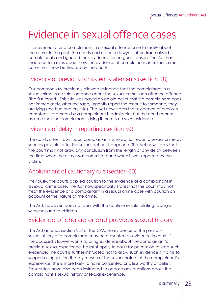# Evidence in sexual offence cases

It is never easy for a complainant in a sexual offence case to testify about the crime. In the past, the courts and defence lawyers often traumatised complainants and ignored their evidence for no good reason. The Act has made certain rules about how the evidence of complainants in sexual crime cases must now be treated by the courts.

# Evidence of previous consistent statements (section 58)

Our common law previously allowed evidence that the complainant in a sexual crime case told someone about the sexual crime soon after the offence (the first report). This rule was based on an old belief that if a complainant does not immediately, after the rape, urgently report the assault to someone, they are lying (the hue and cry rule). The Act now states that evidence of previous consistent statements by a complainant is admissible, but the court cannot assume that the complainant is lying if there is no such evidence.

## Evidence of delay in reporting (section 59)

The courts often frown upon complainants who do not report a sexual crime as soon as possible, after the sexual act has happened. The Act now states that the court may not draw any conclusion from the length of any delay between the time when the crime was committed and when it was reported by the victim.

# Abolishment of cautionary rule (section 60)

Previously, the courts applied caution to the evidence of a complainant in a sexual crime case. The Act now specifically states that the court may not treat the evidence of a complainant in a sexual crime case with caution on account of the nature of the crime.

The Act, however, does not deal with the cautionary rule relating to single witnesses and to children.

# Evidence of character and previous sexual history

The Act amends section 227 of the CPA. No evidence of the previous sexual history of a complainant may be presented as evidence in court. If the accused's lawyer wants to bring evidence about the complainant's previous sexual experience, he must apply to court for permission to lead such evidence. The court is further instructed not to allow such evidence if it aims to support a suggestion that by reason of the sexual nature of the complainant's experience, she is more likely to have consented or is less worthy of belief. Prosecutors have also been instructed to oppose any questions about the complainant's sexual history or sexual experience.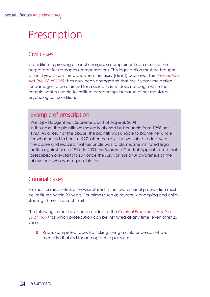# Prescription

# Civil cases

In addition to pressing criminal charges, a complainant can also sue the perpetrator for damages (compensation). This legal action must be brought within 3 years from the date when the injury (delict) occurred. The *Prescription Act (no. 68 of 1969)* has now been changed so that the 3 year time period for damages to be claimed for a sexual crime, does not begin while the complainant is unable to institute proceedings because of her mental or psychological condition.

# Example of prescription

Van Zijl v Hoogenhout, Supreme Court of Appeal, 2004 In this case, the plaintiff was sexually abused by her uncle from 1958 until 1967. As a result of the abuse, the plaintiff was unable to blame her uncle for what he did to her. In 1997, after therapy, she was able to deal with the abuse and realized that her uncle was to blame. She instituted legal action against him in 1999. In 2004 the Supreme Court of Appeal stated that prescription only starts to run once the survivor has a full awareness of the abuse and who was responsible for it.

# Criminal cases

For most crimes, unless otherwise stated in the law, criminal prosecution must be instituted within 20 years. For crimes such as murder, kidnapping and childstealing, there is no such limit.

The following crimes have been added to the *Criminal Procedure Act (no. 51 of 1977)* for which prosecution can be instituted at any time, even after 20 years:

**o** Rape, compelled rape, trafficking, using a child or person who is mentally disabled for pornographic purposes.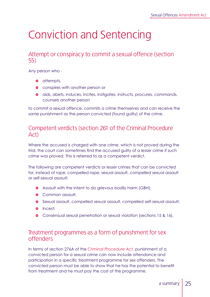# Conviction and Sentencing

## Attempt or conspiracy to commit a sexual offence (section 55)

Any person who -

- **o** attempts,
- **•** conspires with another person or
- $\bullet$  aids, abets, induces, incites, instigates, instructs, procures, commands, counsels another person

to commit a sexual offence, commits a crime themselves and can receive the same punishment as the person convicted (found guilty) of the crime.

## Competent verdicts (section 261 of the Criminal Procedure Act)

Where the accused is charged with one crime, which is not proved during the trial, the court can sometimes find the accused guilty of a lesser crime if such crime was proved. This is referred to as a competent verdict.

The following are competent verdicts or lesser crimes that can be convicted for, instead of rape, compelled rape, sexual assault, compelled sexual assault or self-sexual assault:

- **•** Assault with the intent to do grievous bodily harm (GBH);
- **•** Common assault;
- } Sexual assault, compelled sexual assault, compelled self-sexual assault;
- o Incest:
- } Consensual sexual penetration or sexual violation (sections 15 & 16).

## Treatment programmes as a form of punishment for sex offenders

In terms of section 276A of the *Criminal Procedure Act,* punishment of a convicted person for a sexual crime can now include attendance and participation in a specific treatment programme for sex offenders. The convicted person must be able to show that he has the potential to benefit from treatment and he must pay the cost of the programme.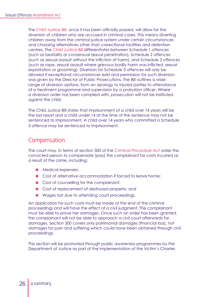The *Child Justice Bill,* once it has been officially passed, will allow for the diversion of children who are accused in criminal cases. This means diverting children away from the criminal justice system under certain circumstances and choosing alternatives other than correctional facilities and detention centres. The *Child Justice Bill* differentiates between Schedule 1 offences (such as bestiality or consensual sexual penetration), Schedule 2 offences (such as sexual assault without the infliction of harm), and Schedule 3 offences (such as rape, sexual assault where grievous bodily harm was inflicted, sexual exploitation or grooming). Diversion for Schedule 3 offences will only be allowed if exceptional circumstances exist and permission for such diversion was given by the Director of Public Prosecutions. The Bill outlines a wide range of diversion options, from an apology to injured parties to attendance of a treatment programme and supervision by a probation officer. Where a diversion order has been complied with, prosecution will not be instituted against the child.

The Child Justice Bill states that imprisonment of a child over 14 years will be the last resort and a child under 14 at the time of the sentence may not be sentenced to imprisonment. A child over 14 years who committed a Schedule 3 offence may be sentenced to imprisonment.

## Compensation

The court may, in terms of section 300 of the *Criminal Procedure Act* order the convicted person to compensate (pay) the complainant for costs incurred as a result of the crime, including:

- **•** Medical expenses;
- **•** Cost of alternative accommodation if forced to leave home:
- **•** Cost of counselling for the complainant:
- **•** Cost of replacement of destroyed property; and
- **•** Wages lost due to attending court proceedings.

An application for such costs must be made at the end of the criminal proceedings and will have the effect of a civil judgment. The complainant must be able to prove her damages. Once such an order has been granted, the complainant will not be able to approach a civil court afterwards for damages. Section 300 covers only patrimonial damages (financial loss), not damages for pain and suffering which could have been obtained through civil proceedings.

This section will be promoted through public awareness programmes by the Department of Justice as part of the implementation of the Victim's Charter.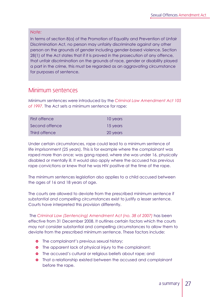#### *Note:*

In terms of section 8(a) of the Promotion of Equality and Prevention of Unfair Discrimination Act, no person may unfairly discriminate against any other person on the grounds of gender including gender-based violence. Section 28(1) of the Act states that if it is proved in the prosecution of any offence, that unfair discrimination on the grounds of race, gender or disability played a part in the crime, this must be regarded as an aggravating circumstance for purposes of sentence.

## Minimum sentences

Minimum sentences were introduced by the *Criminal Law Amendment Act 105 of 1997.* The Act sets a minimum sentence for rape:

| First offence  | 10 years |
|----------------|----------|
| Second offence | 15 years |
| Third offence  | 20 years |

Under certain circumstances, rape could lead to a minimum sentence of life imprisonment (25 years). This is for example where the complainant was raped more than once; was gang raped, where she was under 16, physically disabled or mentally ill. It would also apply where the accused has previous rape convictions or knew that he was HIV positive at the time of the rape.

The minimum sentences legislation also applies to a child accused between the ages of 16 and 18 years of age.

The courts are allowed to deviate from the prescribed minimum sentence if *substantial and compelling circumstances* exist to justify a lesser sentence. Courts have interpreted this provision differently.

 The *Criminal Law (Sentencing) Amendment Act (no. 38 of 2007)* has been effective from 31 December 2008. It outlines certain factors which the courts may not consider substantial and compelling circumstances to allow them to deviate from the prescribed minimum sentence. These factors include:

- **•** The complainant's previous sexual history;
- **•** The apparent lack of physical injury to the complainant;
- **o** The accused's cultural or religious beliefs about rape; and
- **•** That a relationship existed between the accused and complainant before the rape.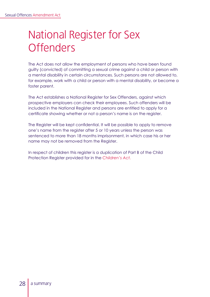# National Register for Sex **Offenders**

The Act does not allow the employment of persons who have been found guilty (convicted) of committing a sexual crime against a child or person with a mental disability in certain circumstances. Such persons are not allowed to, for example, work with a child or person with a mental disability, or become a foster parent.

The Act establishes a National Register for Sex Offenders, against which prospective employers can check their employees. Such offenders will be included in the National Register and persons are entitled to apply for a certificate showing whether or not a person's name is on the register.

The Register will be kept confidential. It will be possible to apply to remove one's name from the register after 5 or 10 years unless the person was sentenced to more than 18 months imprisonment, in which case his or her name may not be removed from the Register.

In respect of children this register is a duplication of Part B of the Child Protection Register provided for in the *Children's Act.*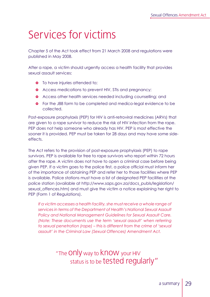# Services for victims

Chapter 5 of the Act took effect from 21 March 2008 and regulations were published in May 2008.

After a rape, a victim should urgently access a health facility that provides sexual assault services:

- **•** To have injuries attended to:
- **•** Access medications to prevent HIV, STIs and preanancy:
- **•** Access other health services needed including counselling; and
- **•** For the J88 form to be completed and medico-legal evidence to be collected.

Post-exposure prophylaxis (PEP) for HIV is anti-retroviral medicines (ARVs) that are given to a rape survivor to reduce the risk of HIV infection from the rape. PEP does not help someone who already has HIV. PEP is most effective the sooner it is provided. PEP must be taken for 28 days and may have some sideeffects.

The Act refers to the provision of post-exposure prophylaxis (PEP) to rape survivors. PEP is available for free to rape survivors who report within 72 hours after the rape. A victim does not have to open a criminal case before being given PEP. If a victim goes to the police first, a police official must inform her of the importance of obtaining PEP and refer her to those facilities where PEP is available. Police stations must have a list of designated PEP facilities at the police station (available at http://www.saps.gov.za/docs\_publs/legislation/ sexual\_offences.htm) and must give the victim a notice explaining her right to PEP (Form 1 of Regulations).

*If a victim accesses a health facility, she must receive a whole range of services in terms of the Department of Health's National Sexual Assault Policy and National Management Guidelines for Sexual Assault Care. (Note: These documents use the term 'sexual assault' when referring to sexual penetration (rape) – this is different from the crime of 'sexual assault' in the Criminal Law (Sexual Offences) Amendment Act.*

> "The ONly way to KNOW your HIV status is to be tested regularly"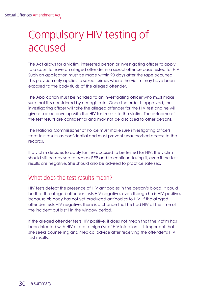# Compulsory HIV testing of accused

The Act allows for a victim, interested person or investigating officer to apply to a court to have an alleged offender in a sexual offence case tested for HIV. Such an application must be made within 90 days after the rape occurred. This provision only applies to sexual crimes where the victim may have been exposed to the body fluids of the alleged offender.

The Application must be handed to an investigating officer who must make sure that it is considered by a magistrate. Once the order is approved, the investigating officer will take the alleged offender for the HIV test and he will give a sealed envelop with the HIV test results to the victim. The outcome of the test results are confidential and may not be disclosed to other persons.

The National Commissioner of Police must make sure investigating officers treat test results as confidential and must prevent unauthorised access to the records.

If a victim decides to apply for the accused to be tested for HIV, the victim should still be advised to access PEP and to continue taking it, even if the test results are negative. She should also be advised to practice safe sex.

# What does the test results mean?

HIV tests detect the presence of HIV antibodies in the person's blood. It could be that the alleged offender tests HIV negative, even though he is HIV positive, because his body has not yet produced antibodies to HIV. If the alleged offender tests HIV negative, there is a chance that he had HIV at the time of the incident but is still in the window period.

If the alleged offender tests HIV positive, it does not mean that the victim has been infected with HIV or are at high risk of HIV infection. It is important that she seeks counselling and medical advice after receiving the offender's HIV test results.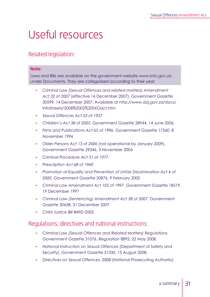# Useful resources

# Related legislation:

#### **Note:**

Laws and Bills are available on the government website www.info.gov.za under Documents. They are categorized according to their year

- y *Criminal Law (Sexual Offences and related matters) Amendment Act 32 of 2007* (effective 16 December 2007), Government Gazette 30599, 14 December 2007. Available at http://www.doj.gov.za/docs/ InfoSheets/2008%2002%20SXOact.htm
- y *Sexual Offences Act 23 of 1957*
- y *Children's Act 38 of 2005*, Government Gazette 28944, 14 June 2006.
- y *Films and Publications Act 65 of 1996*, Government Gazette 17560, 8 November 1996
- y *Older Persons Act 13 of 2006* (not operational by January 2009), Government Gazette 29346, 3 November 2006
- y *Criminal Procedure Act 51 of 1977*
- y *Prescription Act 68 of 1969*
- y *Promotion of Equality and Prevention of Unfair Discrimination Act 4 of 2000*, Government Gazette 20876, 9 February 2000
- y *Criminal Law Amendment Act 105 of 1997*, Government Gazette 18519, 19 December 1997
- y *Criminal Law (Sentencing) Amendment Act 38 of 2007*, Government Gazette 30638, 31 December 2007
- y *Child Justice Bill B49D-2002*.

## Regulations, directives and national instructions:

- y *Criminal Law (Sexual Offences and Related Matters) Regulations*, Government Gazette 31076, Regulation 8892, 22 May 2008.
- y *National Instruction on Sexual Offences* (Department of Safety and Security), Government Gazette 31330, 15 August 2008.
- y *Directives on Sexual Offences, 2008* (National Prosecuting Authority)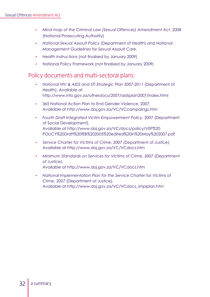- y *Mind map of the Criminal Law (Sexual Offences) Amendment Act*, 2008 (National Prosecuting Authority)
- y *National Sexual Assault Policy* (Department of Health) and *National Management Guidelines for Sexual Assault Care*.
- Health instructions (not finalised by January 2009)
- National Policy Framework (not finalised by January 2009)

## Policy documents and multi-sectoral plans:

- y *National HIV & AIDS and STI Strategic Plan 2007-2011* (Department of Health), Available at http://www.info.gov.za/otherdocs/2007/aidsplan2007/index.html
- <sup>8</sup> 365 National Action Plan to End Gender Violence, 2007, Available at http://www.doj.gov.za/VC/VCcampaings.htm
- y *Fourth Draft Integrated Victim Empowerment Policy*, 2007 (Department of Social Development), Available at http://www.doj.gov.za/VC/docs/policy/VEP%20 POLICY%20Draft%20fEB%202005%20edited%20in%20May%202007.pdf
- y *Service Charter for Victims of Crime, 2007 (Department of Justice),*  Available at http://www.doj.gov.za/VC/VCdocs.htm
- y *Minimum Standards on Services for Victims of Crime, 2007 (Department of Justice),*  Available at http://www.doj.gov.za/VC/VCdocs.htm
- y *National Implementation Plan for the Service Charter for Victims of Crime*, 2007 (Department of Justice), Available at http://www.doj.gov.za/VC/VCdocs\_implplan.htm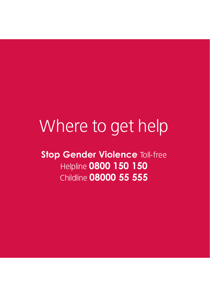# Where to get help

**Stop Gender Violence Toll-free** Helpline **0800 150 150** Childline **08000 55 555**